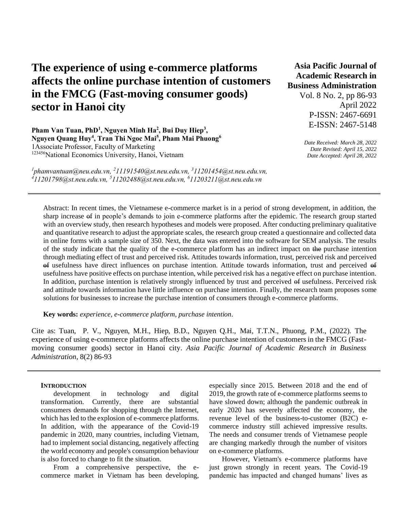# **The experience of using e-commerce platforms affects the online purchase intention of customers in the FMCG (Fast-moving consumer goods) sector in Hanoi city**

Pham Van Tuan, PhD<sup>1</sup>, Nguyen Minh Ha<sup>2</sup>, Bui Duy Hiep<sup>3</sup>, **Nguyen Quang Huy<sup>4</sup> , Tran Thi Ngoc Mai<sup>5</sup> , Pham Mai Phuong<sup>6</sup>** 1Associate Professor, Faculty of Marketing <sup>123456</sup>National Economics University, Hanoi, Vietnam

*<sup>1</sup>phamvantuan@neu.edu.vn, <sup>2</sup>11191540@st.neu.edu.vn, <sup>3</sup>11201454@st.neu.edu.vn, <sup>4</sup>11201798@st.neu.edu.vn, <sup>5</sup>11202488@st.neu.edu.vn, <sup>6</sup>11203211@st.neu.edu.vn*

**Asia Pacific Journal of Academic Research in Business Administration**  Vol. 8 No. 2, pp 86-93 April 2022 P-ISSN: 2467-6691 E-ISSN: 2467-5148

> *Date Received: March 28, 2022 Date Revised: April 15, 2022 Date Accepted: April 28, 2022*

Abstract: In recent times, the Vietnamese e-commerce market is in a period of strong development, in addition, the sharp increase of in people's demands to join e-commerce platforms after the epidemic. The research group started with an overview study, then research hypotheses and models were proposed. After conducting preliminary qualitative and quantitative research to adjust the appropriate scales, the research group created a questionnaire and collected data in online forms with a sample size of 350. Next, the data was entered into the software for SEM analysis. The results of the study indicate that the quality of the e-commerce platform has an indirect impact on the purchase intention through mediating effect of trust and perceived risk. Attitudes towards information, trust, perceived risk and perceived of usefulness have direct influences on purchase intention. Attitude towards information, trust and perceived of usefulness have positive effects on purchase intention, while perceived risk has a negative effect on purchase intention. In addition, purchase intention is relatively strongly influenced by trust and perceived of usefulness. Perceived risk and attitude towards information have little influence on purchase intention. Finally, the research team proposes some solutions for businesses to increase the purchase intention of consumers through e-commerce platforms.

**Key words:** *experience, e-commerce platform, purchase intention*.

Cite as: Tuan, P. V., Nguyen, M.H., Hiep, B.D., Nguyen Q.H., Mai, T.T.N., Phuong, P.M., (2022). The experience of using e-commerce platforms affects the online purchase intention of customers in the FMCG (Fastmoving consumer goods) sector in Hanoi city. *Asia Pacific Journal of Academic Research in Business Administration*, 8(2) 86-93

### **INTRODUCTION**

development in technology and digital transformation. Currently, there are substantial consumers demands for shopping through the Internet, which has led to the explosion of e-commerce platforms. In addition, with the appearance of the Covid-19 pandemic in 2020, many countries, including Vietnam, had to implement social distancing, negatively affecting the world economy and people's consumption behaviour is also forced to change to fit the situation.

From a comprehensive perspective, the ecommerce market in Vietnam has been developing,

especially since 2015. Between 2018 and the end of 2019, the growth rate of e-commerce platforms seems to have slowed down; although the pandemic outbreak in early 2020 has severely affected the economy, the revenue level of the business-to-customer (B2C) ecommerce industry still achieved impressive results. The needs and consumer trends of Vietnamese people are changing markedly through the number of visitors on e-commerce platforms.

However, Vietnam's e-commerce platforms have just grown strongly in recent years. The Covid-19 pandemic has impacted and changed humans' lives as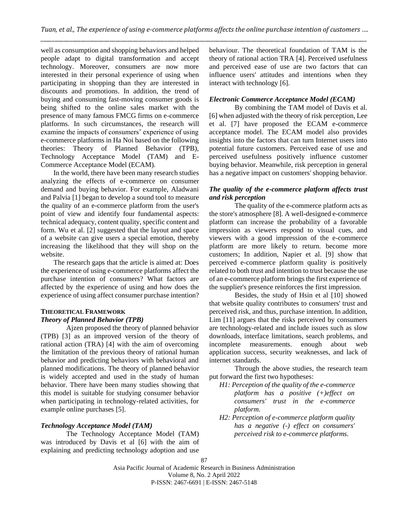well as consumption and shopping behaviors and helped people adapt to digital transformation and accept technology. Moreover, consumers are now more interested in their personal experience of using when participating in shopping than they are interested in discounts and promotions. In addition, the trend of buying and consuming fast-moving consumer goods is being shifted to the online sales market with the presence of many famous FMCG firms on e-commerce platforms. In such circumstances, the research will examine the impacts of consumers' experience of using e-commerce platforms in Ha Noi based on the following theories: Theory of Planned Behavior (TPB), Technology Acceptance Model (TAM) and E-Commerce Acceptance Model (ECAM).

In the world, there have been many research studies analyzing the effects of e-commerce on consumer demand and buying behavior. For example, Aladwani and Palvia [1] began to develop a sound tool to measure the quality of an e-commerce platform from the user's point of view and identify four fundamental aspects: technical adequacy, content quality, specific content and form. Wu et al. [2] suggested that the layout and space of a website can give users a special emotion, thereby increasing the likelihood that they will shop on the website.

The research gaps that the article is aimed at: Does the experience of using e-commerce platforms affect the purchase intention of consumers? What factors are affected by the experience of using and how does the experience of using affect consumer purchase intention?

# **THEORETICAL FRAMEWORK** *Theory of Planned Behavior (TPB)*

Ajzen proposed the theory of planned behavior (TPB) [3] as an improved version of the theory of rational action (TRA) [4] with the aim of overcoming the limitation of the previous theory of rational human behavior and predicting behaviors with behavioral and planned modifications. The theory of planned behavior is widely accepted and used in the study of human behavior. There have been many studies showing that this model is suitable for studying consumer behavior when participating in technology-related activities, for example online purchases [5].

# *Technology Acceptance Model (TAM)*

The Technology Acceptance Model (TAM) was introduced by Davis et al [6] with the aim of explaining and predicting technology adoption and use

behaviour. The theoretical foundation of TAM is the theory of rational action TRA [4]. Perceived usefulness and perceived ease of use are two factors that can influence users' attitudes and intentions when they interact with technology [6].

# *Electronic Commerce Acceptance Model (ECAM)*

By combining the TAM model of Davis et al. [6] when adjusted with the theory of risk perception, Lee et al. [7] have proposed the ECAM e-commerce acceptance model. The ECAM model also provides insights into the factors that can turn Internet users into potential future customers. Perceived ease of use and perceived usefulness positively influence customer buying behavior. Meanwhile, risk perception in general has a negative impact on customers' shopping behavior.

## *The quality of the e-commerce platform affects trust and risk perception*

The quality of the e-commerce platform acts as the store's atmosphere [8]. A well-designed e-commerce platform can increase the probability of a favorable impression as viewers respond to visual cues, and viewers with a good impression of the e-commerce platform are more likely to return. become more customers; In addition, Napier et al. [9] show that perceived e-commerce platform quality is positively related to both trust and intention to trust because the use of an e-commerce platform brings the first experience of the supplier's presence reinforces the first impression.

Besides, the study of Hsin et al [10] showed that website quality contributes to consumers' trust and perceived risk, and thus, purchase intention. In addition, Lim [11] argues that the risks perceived by consumers are technology-related and include issues such as slow downloads, interface limitations, search problems, and incomplete measurements. enough about web application success, security weaknesses, and lack of internet standards.

Through the above studies, the research team put forward the first two hypotheses:

- *H1: Perception of the quality of the e-commerce platform has a positive (+)effect on consumers' trust in the e-commerce platform.*
- *H2: Perception of e-commerce platform quality has a negative (-) effect on consumers' perceived risk to e-commerce platforms.*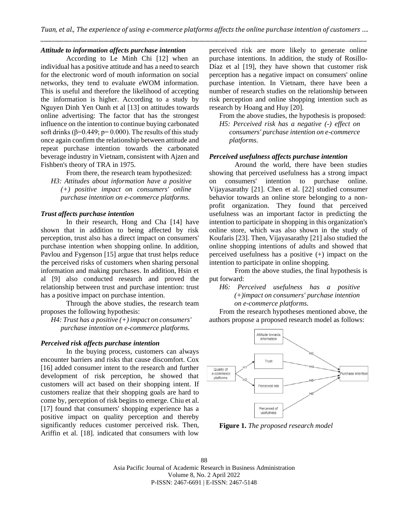# *Attitude to information affects purchase intention*

According to Le Minh Chi [12] when an individual has a positive attitude and has a need to search for the electronic word of mouth information on social networks, they tend to evaluate eWOM information. This is useful and therefore the likelihood of accepting the information is higher. According to a study by Nguyen Dinh Yen Oanh et al [13] on attitudes towards online advertising: The factor that has the strongest influence on the intention to continue buying carbonated soft drinks ( $\beta$ =0.449; p= 0.000). The results of this study once again confirm the relationship between attitude and repeat purchase intention towards the carbonated beverage industry in Vietnam, consistent with Ajzen and Fishben's theory of TRA in 1975.

From there, the research team hypothesized:

*H3: Attitudes about information have a positive (+) positive impact on consumers' online purchase intention on e-commerce platforms.*

## *Trust affects purchase intention*

In their research, Hong and Cha [14] have shown that in addition to being affected by risk perception, trust also has a direct impact on consumers' purchase intention when shopping online. In addition, Pavlou and Fygenson [15] argue that trust helps reduce the perceived risks of customers when sharing personal information and making purchases. In addition, Hsin et al [9] also conducted research and proved the relationship between trust and purchase intention: trust has a positive impact on purchase intention.

Through the above studies, the research team proposes the following hypothesis:

*H4: Trust has a positive (+) impact on consumers' purchase intention on e-commerce platforms.*

## *Perceived risk affects purchase intention*

In the buying process, customers can always encounter barriers and risks that cause discomfort. Cox [16] added consumer intent to the research and further development of risk perception, he showed that customers will act based on their shopping intent. If customers realize that their shopping goals are hard to come by, perception of risk begins to emerge. Chiu et al. [17] found that consumers' shopping experience has a positive impact on quality perception and thereby significantly reduces customer perceived risk. Then, Ariffin et al. [18]. indicated that consumers with low perceived risk are more likely to generate online purchase intentions. In addition, the study of Rosillo-Díaz et al [19], they have shown that customer risk perception has a negative impact on consumers' online purchase intention. In Vietnam, there have been a number of research studies on the relationship between risk perception and online shopping intention such as research by Hoang and Huy [20].

From the above studies, the hypothesis is proposed: *H5: Perceived risk has a negative (-) effect on consumers' purchase intention on e-commerce platforms.*

## *Perceived usefulness affects purchase intention*

Around the world, there have been studies showing that perceived usefulness has a strong impact on consumers' intention to purchase online. Vijayasarathy [21]. Chen et al. [22] studied consumer behavior towards an online store belonging to a nonprofit organization. They found that perceived usefulness was an important factor in predicting the intention to participate in shopping in this organization's online store, which was also shown in the study of Koufaris [23]. Then, Vijayasarathy [21] also studied the online shopping intentions of adults and showed that perceived usefulness has a positive (+) impact on the intention to participate in online shopping.

From the above studies, the final hypothesis is put forward:

*H6: Perceived usefulness has a positive (+)impact on consumers' purchase intention on e-commerce platforms.*

From the research hypotheses mentioned above, the authors propose a proposed research model as follows:



**Figure 1.** *The proposed research model*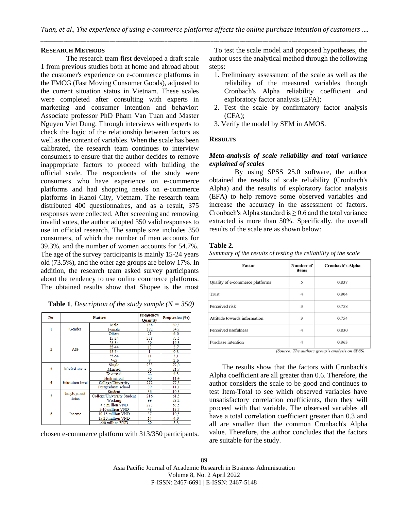#### **RESEARCH METHODS**

The research team first developed a draft scale 1 from previous studies both at home and abroad about the customer's experience on e-commerce platforms in the FMCG (Fast Moving Consumer Goods), adjusted to the current situation status in Vietnam. These scales were completed after consulting with experts in marketing and consumer intention and behavior: Associate professor PhD Pham Van Tuan and Master Nguyen Viet Dung. Through interviews with experts to check the logic of the relationship between factors as well as the content of variables. When the scale has been calibrated, the research team continues to interview consumers to ensure that the author decides to remove inappropriate factors to proceed with building the official scale. The respondents of the study were consumers who have experience on e-commerce platforms and had shopping needs on e-commerce platforms in Hanoi City, Vietnam. The research team distributed 400 questionnaires, and as a result, 375 responses were collected. After screening and removing invalid votes, the author adopted 350 valid responses to use in official research. The sample size includes 350 consumers, of which the number of men accounts for 39.3%, and the number of women accounts for 54.7%. The age of the survey participants is mainly 15-24 years old (73.5%), and the other age groups are below 17%. In addition, the research team asked survey participants about the tendency to use online commerce platforms. The obtained results show that Shopee is the most

**Table 1**. *Description of the study sample (N = 350)*

| No             |                        | <b>Feature</b>             | Frequency/<br><b>Quantity</b> | Proportion (%) |  |
|----------------|------------------------|----------------------------|-------------------------------|----------------|--|
|                | Gender                 | Male                       | 138                           | 39.3           |  |
| 1              |                        | Female                     | 192                           | 54.7           |  |
|                |                        | Others                     | 21                            | 6,0            |  |
|                | Age                    | $15 - 24$                  | 258                           | 73.5           |  |
|                |                        | $25 - 34$                  | 59                            | 16,8           |  |
| $\overline{2}$ |                        | 35-44                      | 13                            | 3,7            |  |
|                |                        | $45 - 54$                  |                               | 0,3            |  |
|                |                        | $55 - 64$                  | 11                            | 3,1            |  |
|                |                        | $\geq 65$                  | 9                             | 2,6            |  |
|                | Marital status         | Single                     | 253                           | 72,0           |  |
| 3              |                        | Married                    | 76                            | 21,7           |  |
|                |                        | Divorced                   | 22                            | 6,3            |  |
|                | <b>Education level</b> | High school                | 40                            | 11.4           |  |
| 4              |                        | College/University         | 272                           | 77.5           |  |
|                |                        | Postgraduate school        | 39                            | 11,1           |  |
|                | Employment<br>status   | <b>Student</b>             | 36                            | 10.3           |  |
| 5              |                        | College/University Student | 216                           | 61.5           |  |
|                |                        | Working                    | 99                            | 28,2           |  |
|                | Income                 | <5 million VND             | 223                           | 63.5           |  |
|                |                        | 5-10 million VND           | 48                            | 13,7           |  |
| 6              |                        | 10-15 million VND          | 37                            | 10.5           |  |
|                |                        | 15-20 million VND          | 14                            | 4.0            |  |
|                |                        | >20 million VND            | 29                            | 8.3            |  |

chosen e-commerce platform with 313/350 participants.

To test the scale model and proposed hypotheses, the author uses the analytical method through the following steps:

- 1. Preliminary assessment of the scale as well as the reliability of the measured variables through Cronbach's Alpha reliability coefficient and exploratory factor analysis (EFA);
- 2. Test the scale by confirmatory factor analysis  $(CFA)$ ;
- 3. Verify the model by SEM in AMOS.

## **RESULTS**

# *Meta-analysis of scale reliability and total variance explained of scales*

By using SPSS 25.0 software, the author obtained the results of scale reliability (Cronbach's Alpha) and the results of exploratory factor analysis (EFA) to help remove some observed variables and increase the accuracy in the assessment of factors. Cronbach's Alpha standard is  $\geq 0.6$  and the total variance extracted is more than 50%. Specifically, the overall results of the scale are as shown below:

#### **Table 2***.*

*Summary of the results of testing the reliability of the scale*

| <b>Factor</b>                   | Number of<br>items       | <b>Cronbach's Alpha</b> |  |  |
|---------------------------------|--------------------------|-------------------------|--|--|
| Quality of e-commerce platforms | 5                        | 0.837                   |  |  |
| Trust                           | Δ                        | 0.804                   |  |  |
| Perceived risk                  | 3                        | 0.758                   |  |  |
| Attitude towards information    | 3                        | 0.754                   |  |  |
| Perceived usefulness            | $\overline{\mathcal{A}}$ | 0.830                   |  |  |
| Purchase intention              | 4                        | 0.863                   |  |  |

(Source: The authors group's analysis on SPSS)

The results show that the factors with Cronbach's Alpha coefficient are all greater than 0.6. Therefore, the author considers the scale to be good and continues to test Item-Total to see which observed variables have unsatisfactory correlation coefficients, then they will proceed with that variable. The observed variables all have a total correlation coefficient greater than 0.3 and all are smaller than the common Cronbach's Alpha value. Therefore, the author concludes that the factors are suitable for the study.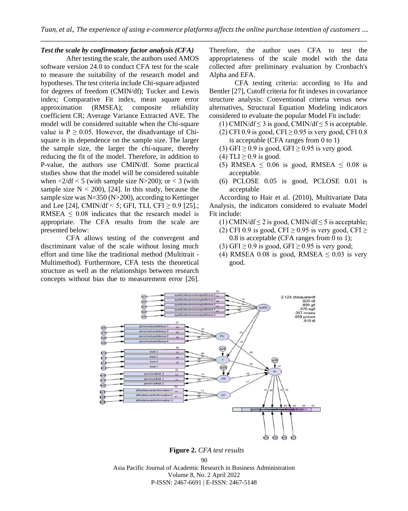# *Test the scale by confirmatory factor analysis (CFA)*

After testing the scale, the authors used AMOS software version 24.0 to conduct CFA test for the scale to measure the suitability of the research model and hypotheses. The test criteria include Chi-square adjusted for degrees of freedom (CMIN/df); Tucker and Lewis index; Comparative Fit index, mean square error approximation (RMSEA); composite reliability coefficient CR; Average Variance Extracted AVE. The model will be considered suitable when the Chi-square value is  $P \ge 0.05$ . However, the disadvantage of Chisquare is its dependence on the sample size. The larger the sample size, the larger the chi-square, thereby reducing the fit of the model. Therefore, in addition to P-value, the authors use CMIN/df. Some practical studies show that the model will be considered suitable when  $\div 2/df$  < 5 (with sample size N>200); or < 3 (with sample size  $N < 200$ , [24]. In this study, because the sample size was N=350 (N>200), according to Kettinger and Lee [24], CMIN/df < 5; GFI, TLI, CFI  $\geq$  0.9 [25].; RMSEA  $\leq$  0.08 indicates that the research model is appropriate. The CFA results from the scale are presented below:

CFA allows testing of the convergent and discriminant value of the scale without losing much effort and time like the traditional method (Multitrait - Multimethod). Furthermore, CFA tests the theoretical structure as well as the relationships between research concepts without bias due to measurement error [26].

Therefore, the author uses CFA to test the appropriateness of the scale model with the data collected after preliminary evaluation by Cronbach's Alpha and EFA.

CFA testing criteria: according to Hu and Bentler [27], Cutoff criteria for fit indexes in covariance structure analysis: Conventional criteria versus new alternatives, Structural Equation Modeling indicators considered to evaluate the popular Model Fit include:

(1) CMIN/df  $\leq$  3 is good, CMIN/df  $\leq$  5 is acceptable.

- (2) CFI 0.9 is good, CFI  $\geq$  0.95 is very good, CFI 0.8 is acceptable (CFA ranges from 0 to 1)
- (3) GFI  $\geq$  0.9 is good, GFI  $\geq$  0.95 is very good.
- (4) TLI  $\geq$  0.9 is good.
- (5) RMSEA  $\leq$  0.06 is good, RMSEA  $\leq$  0.08 is acceptable.
- (6) PCLOSE 0.05 is good, PCLOSE 0.01 is acceptable

According to Hair et al. (2010), Multivariate Data Analysis, the indicators considered to evaluate Model Fit include:

- (1) CMIN/df  $\leq$  2 is good, CMIN/df  $\leq$  5 is acceptable;
- (2) CFI 0.9 is good, CFI  $\geq$  0.95 is very good, CFI  $\geq$ 0.8 is acceptable (CFA ranges from 0 to 1);
- (3) GFI  $\geq$  0.9 is good, GFI  $\geq$  0.95 is very good;
- (4) RMSEA 0.08 is good, RMSEA  $\leq$  0.03 is very good.



 **Figure 2.** *CFA test results*

 $90$ 

Asia Pacific Journal of Academic Research in Business Administration Volume 8, No. 2 April 2022 P-ISSN: 2467-6691 | E-ISSN: 2467-5148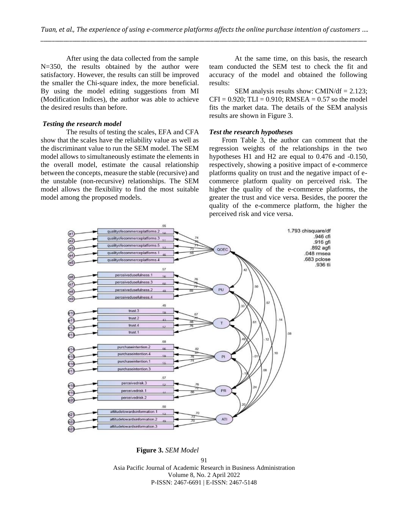After using the data collected from the sample N=350, the results obtained by the author were satisfactory. However, the results can still be improved the smaller the Chi-square index, the more beneficial. By using the model editing suggestions from MI (Modification Indices), the author was able to achieve the desired results than before.

#### *Testing the research model*

The results of testing the scales, EFA and CFA show that the scales have the reliability value as well as the discriminant value to run the SEM model. The SEM model allows to simultaneously estimate the elements in the overall model, estimate the causal relationship between the concepts, measure the stable (recursive) and the unstable (non-recursive) relationships. The SEM model allows the flexibility to find the most suitable model among the proposed models.

At the same time, on this basis, the research team conducted the SEM test to check the fit and accuracy of the model and obtained the following results:

SEM analysis results show: CMIN/df  $= 2.123$ ;  $CFI = 0.920$ ; TLI = 0.910; RMSEA = 0.57 so the model fits the market data. The details of the SEM analysis results are shown in Figure 3.

## *Test the research hypotheses*

From Table 3, the author can comment that the regression weights of the relationships in the two hypotheses H1 and H2 are equal to 0.476 and -0.150, respectively, showing a positive impact of e-commerce platforms quality on trust and the negative impact of ecommerce platform quality on perceived risk. The higher the quality of the e-commerce platforms, the greater the trust and vice versa. Besides, the poorer the quality of the e-commerce platform, the higher the perceived risk and vice versa.



91 Asia Pacific Journal of Academic Research in Business Administration Volume 8, No. 2 April 2022 **Figure 3.** *SEM Model*

P-ISSN: 2467-6691 | E-ISSN: 2467-5148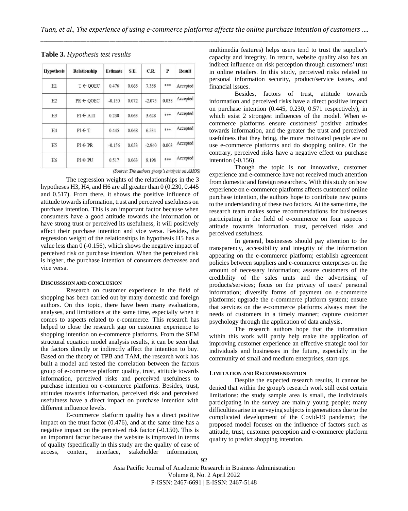| <b>Hypothesis</b> | Relationship         | <b>Estimate</b> | S.E.  | C.R.     | P     | <b>Result</b> |
|-------------------|----------------------|-----------------|-------|----------|-------|---------------|
| H1                | $T \leftarrow$ OOEC  | 0.476           | 0.065 | 7.358    | ***   | Accepted      |
| H2                | $PR \leftarrow QOEC$ | $-0.150$        | 0.072 | $-2.075$ | 0.038 | Accepted      |
| H <sub>3</sub>    | $PI \leftarrow ATT$  | 0.230           | 0.063 | 3.628    | ***   | Accepted      |
| H <sub>4</sub>    | $PI \leftarrow T$    | 0.445           | 0.068 | 6.534    | ***   | Accepted      |
| H <sub>5</sub>    | $PI \leftarrow PR$   | $-0.156$        | 0.053 | $-2.940$ | 0.003 | Accepted      |
| H <sub>6</sub>    | $PI \leftarrow PU$   | 0.517           | 0.063 | 8.198    | ***   | Accepted      |

(Source: The authors group's analysis on AMOS)

The regression weights of the relationships in the 3 hypotheses H3, H4, and H6 are all greater than 0 (0.230, 0.445 and 0.517). From there, it shows the positive influence of attitude towards information, trust and perceived usefulness on purchase intention. This is an important factor because when consumers have a good attitude towards the information or have strong trust or perceived its usefulness, it will positively affect their purchase intention and vice versa. Besides, the regression weight of the relationships in hypothesis H5 has a value less than 0 (-0.156), which shows the negative impact of perceived risk on purchase intention. When the perceived risk is higher, the purchase intention of consumers decreases and vice versa.

#### **DISCUSSSION AND CONCLUSION**

Research on customer experience in the field of shopping has been carried out by many domestic and foreign authors. On this topic, there have been many evaluations, analyses, and limitations at the same time, especially when it comes to aspects related to e-commerce. This research has helped to close the research gap on customer experience to shopping intention on e-commerce platforms. From the SEM structural equation model analysis results, it can be seen that the factors directly or indirectly affect the intention to buy. Based on the theory of TPB and TAM, the research work has built a model and tested the correlation between the factors group of e-commerce platform quality, trust, attitude towards information, perceived risks and perceived usefulness to purchase intention on e-commerce platforms. Besides, trust, attitudes towards information, perceived risk and perceived usefulness have a direct impact on purchase intention with different influence levels.

E-commerce platform quality has a direct positive impact on the trust factor (0.476), and at the same time has a negative impact on the perceived risk factor (-0.150). This is an important factor because the website is improved in terms of quality (specifically in this study are the quality of ease of access, content, interface, stakeholder information,

multimedia features) helps users tend to trust the supplier's capacity and integrity. In return, website quality also has an indirect influence on risk perception through customers' trust in online retailers. In this study, perceived risks related to personal information security, product/service issues, and financial issues.

Besides, factors of trust, attitude towards information and perceived risks have a direct positive impact on purchase intention (0.445, 0.230, 0.571 respectively), in which exist 2 strongest influences of the model. When ecommerce platforms ensure customers' positive attitudes towards information, and the greater the trust and perceived usefulness that they bring, the more motivated people are to use e-commerce platforms and do shopping online. On the contrary, perceived risks have a negative effect on purchase intention (-0.156).

Though the topic is not innovative, customer experience and e-commerce have not received much attention from domestic and foreign researchers. With this study on how experience on e-commerce platforms affects customers' online purchase intention, the authors hope to contribute new points to the understanding of these two factors. At the same time, the research team makes some recommendations for businesses participating in the field of e-commerce on four aspects : attitude towards information, trust, perceived risks and perceived usefulness.

In general, businesses should pay attention to the transparency, accessibility and integrity of the information appearing on the e-commerce platform; establish agreement policies between suppliers and e-commerce enterprises on the amount of necessary information; assure customers of the credibility of the sales units and the advertising of products/services; focus on the privacy of users' personal information; diversify forms of payment on e-commerce platforms; upgrade the e-commerce platform system; ensure that services on the e-commerce platforms always meet the needs of customers in a timely manner; capture customer psychology through the application of data analysis.

The research authors hope that the information within this work will partly help make the application of improving customer experience an effective strategic tool for individuals and businesses in the future, especially in the community of small and medium enterprises, start-ups.

#### **LIMITATION AND RECOMMENDATION**

Despite the expected research results, it cannot be denied that within the group's research work still exist certain limitations: the study sample area is small, the individuals participating in the survey are mainly young people; many difficulties arise in surveying subjects in generations due to the complicated development of the Covid-19 pandemic; the proposed model focuses on the influence of factors such as attitude, trust, customer perception and e-commerce platform quality to predict shopping intention.

Asia Pacific Journal of Academic Research in Business Administration Volume 8, No. 2 April 2022 P-ISSN: 2467-6691 | E-ISSN: 2467-5148